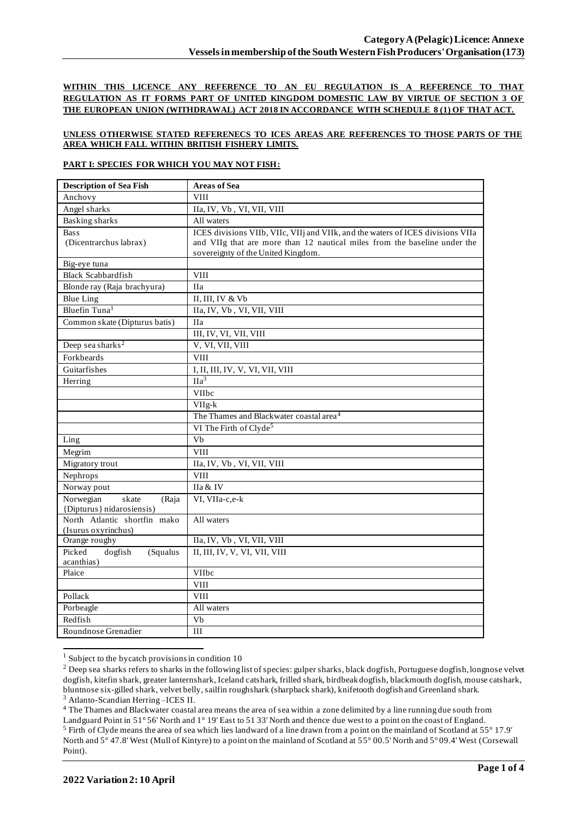**WITHIN THIS LICENCE ANY REFERENCE TO AN EU REGULATION IS A REFERENCE TO THAT REGULATION AS IT FORMS PART OF UNITED KINGDOM DOMESTIC LAW BY VIRTUE OF SECTION 3 OF THE EUROPEAN UNION (WITHDRAWAL) ACT 2018 IN ACCORDANCE WITH SCHEDULE 8 (1) OF THAT ACT.**

## **UNLESS OTHERWISE STATED REFERENECS TO ICES AREAS ARE REFERENCES TO THOSE PARTS OF THE AREA WHICH FALL WITHIN BRITISH FISHERY LIMITS.**

## **PART I: SPECIES FOR WHICH YOU MAY NOT FISH:**

| <b>Description of Sea Fish</b>              | <b>Areas of Sea</b>                                                             |
|---------------------------------------------|---------------------------------------------------------------------------------|
| Anchovy                                     | <b>VIII</b>                                                                     |
| Angel sharks                                | IIa, IV, Vb, VI, VII, VIII                                                      |
| <b>Basking sharks</b>                       | All waters                                                                      |
| <b>Bass</b>                                 | ICES divisions VIIb, VIIc, VIIj and VIIk, and the waters of ICES divisions VIIa |
| (Dicentrarchus labrax)                      | and VIIg that are more than 12 nautical miles from the baseline under the       |
|                                             | sovereignty of the United Kingdom.                                              |
| Big-eye tuna                                |                                                                                 |
| <b>Black Scabbardfish</b>                   | <b>VIII</b>                                                                     |
| Blonde ray (Raja brachyura)                 | <b>IIa</b>                                                                      |
| <b>Blue Ling</b>                            | II, III, IV & Vb                                                                |
| Bluefin Tuna <sup>1</sup>                   | IIa, IV, Vb, VI, VII, VIII                                                      |
| Common skate (Dipturus batis)               | <b>IIa</b>                                                                      |
|                                             | III, IV, VI, VII, VIII                                                          |
| Deep sea sharks <sup>2</sup>                | V, VI, VII, VIII                                                                |
| Forkbeards                                  | <b>VIII</b>                                                                     |
| Guitarfishes                                | I, II, III, IV, V, VI, VII, VIII                                                |
| Herring                                     | IIa <sup>3</sup>                                                                |
|                                             | VIIbc                                                                           |
|                                             | $VIIg-k$                                                                        |
|                                             | The Thames and Blackwater coastal area <sup>4</sup>                             |
|                                             | VI The Firth of Clyde <sup>5</sup>                                              |
| Ling                                        | Vb                                                                              |
| Megrim                                      | <b>VIII</b>                                                                     |
| Migratory trout                             | IIa, IV, Vb, VI, VII, VIII                                                      |
| Nephrops                                    | <b>VIII</b>                                                                     |
| Norway pout                                 | IIa & IV                                                                        |
| Norwegian<br>skate<br>(Raja                 | VI, VIIa-c,e-k                                                                  |
| {Dipturus} nidarosiensis)                   |                                                                                 |
| North Atlantic shortfin mako                | All waters                                                                      |
| (Isurus oxyrinchus)                         |                                                                                 |
| Orange roughy                               | IIa, IV, Vb, VI, VII, VIII                                                      |
| Picked<br>dogfish<br>(Squalus<br>acanthias) | II, III, IV, V, VI, VII, VIII                                                   |
| Plaice                                      | VIIbc                                                                           |
|                                             | <b>VIII</b>                                                                     |
| Pollack                                     | <b>VIII</b>                                                                     |
| Porbeagle                                   | All waters                                                                      |
| Redfish                                     | Vb                                                                              |
| Roundnose Grenadier                         | III                                                                             |
|                                             |                                                                                 |

 $1$  Subject to the bycatch provisions in condition 10

<sup>4</sup> The Thames and Blackwater coastal area means the area of sea within a zone delimited by a line running due south from

<sup>&</sup>lt;sup>2</sup> Deep sea sharks refers to sharks in the following list of species: gulper sharks, black dogfish, Portuguese dogfish, longnose velvet dogfish, kitefin shark, greater lanternshark, Iceland catshark, frilled shark, birdbeak dogfish, blackmouth dogfish, mouse catshark, bluntnose six-gilled shark, velvet belly, sailfin roughshark (sharpback shark), knifetooth dogfish and Greenland shark. <sup>3</sup> Atlanto-Scandian Herring –ICES II.

Landguard Point in 51° 56' North and 1° 19' East to 51 33' North and thence due west to a point on the coast of England. <sup>5</sup> Firth of Clyde means the area of sea which lies landward of a line drawn from a point on the mainland of Scotland at 55° 17.9' North and 5° 47.8' West (Mull of Kintyre) to a point on the mainland of Scotland at 55° 00.5' North and 5° 09.4' West (Corsewall Point).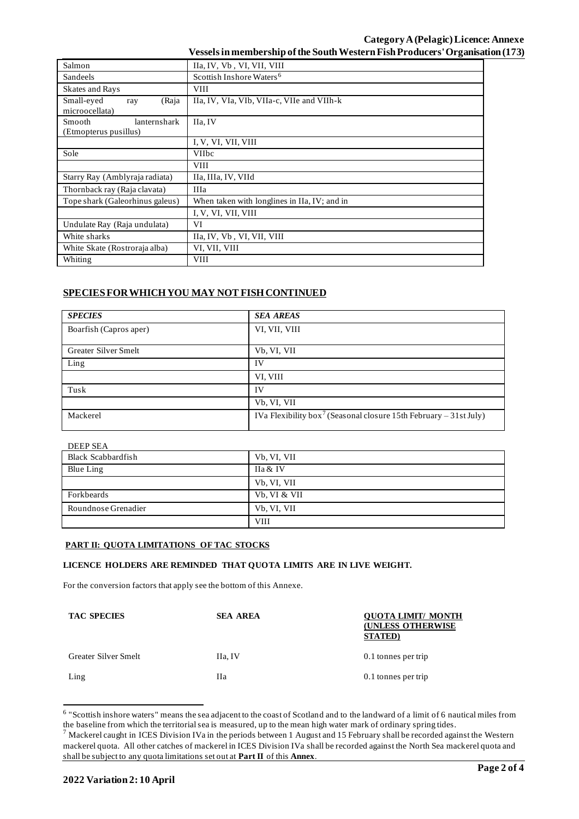| Salmon                                          | IIa, IV, Vb, VI, VII, VIII                   |  |  |  |
|-------------------------------------------------|----------------------------------------------|--|--|--|
| Sandeels                                        | Scottish Inshore Waters <sup>6</sup>         |  |  |  |
| Skates and Rays                                 | <b>VIII</b>                                  |  |  |  |
| Small-eyed<br>(Raja<br>ray<br>microocellata)    | IIa, IV, VIa, VIb, VIIa-c, VIIe and VIIh-k   |  |  |  |
| lanternshark<br>Smooth<br>(Etmopterus pusillus) | IIa. IV                                      |  |  |  |
|                                                 | I, V, VI, VII, VIII                          |  |  |  |
| Sole                                            | <b>VIIbc</b>                                 |  |  |  |
|                                                 | <b>VIII</b>                                  |  |  |  |
| Starry Ray (Amblyraja radiata)                  | IIa, IIIa, IV, VIId                          |  |  |  |
| Thornback ray (Raja clavata)                    | <b>IIIa</b>                                  |  |  |  |
| Tope shark (Galeorhinus galeus)                 | When taken with longlines in IIa, IV; and in |  |  |  |
|                                                 | I, V, VI, VII, VIII                          |  |  |  |
| Undulate Ray (Raja undulata)                    | VI                                           |  |  |  |
| White sharks                                    | IIa, IV, Vb, VI, VII, VIII                   |  |  |  |
| White Skate (Rostroraja alba)                   | VI, VII, VIII                                |  |  |  |
| Whiting                                         | <b>VIII</b>                                  |  |  |  |

# **SPECIES FOR WHICH YOU MAY NOT FISH CONTINUED**

| <b>SPECIES</b>         | <b>SEA AREAS</b>                                                              |
|------------------------|-------------------------------------------------------------------------------|
| Boarfish (Capros aper) | VI, VII, VIII                                                                 |
| Greater Silver Smelt   | Vb, VI, VII                                                                   |
| Ling                   | IV                                                                            |
|                        | VI, VIII                                                                      |
| Tusk                   | IV                                                                            |
|                        | Vb, VI, VII                                                                   |
| Mackerel               | IVa Flexibility box <sup>7</sup> (Seasonal closure 15th February – 31st July) |

| Black Scabbardfish  | Vb, VI, VII  |
|---------------------|--------------|
| Blue Ling           | IIa & IV     |
|                     | Vb, VI, VII  |
| Forkbeards          | Vb, VI & VII |
| Roundnose Grenadier | Vb, VI, VII  |
|                     | <b>VIII</b>  |

## **PART II: QUOTA LIMITATIONS OF TAC STOCKS**

## **LICENCE HOLDERS ARE REMINDED THAT QUOTA LIMITS ARE IN LIVE WEIGHT.**

For the conversion factors that apply see the bottom of this Annexe.

| <b>TAC SPECIES</b>   | <b>SEA AREA</b> | <b>OUOTA LIMIT/ MONTH</b><br><b>(UNLESS OTHERWISE</b><br><b>STATED</b> ) |
|----------------------|-----------------|--------------------------------------------------------------------------|
| Greater Silver Smelt | IIa, IV         | 0.1 tonnes per trip                                                      |
| Ling                 | Hа              | 0.1 tonnes per trip                                                      |

<sup>&</sup>lt;sup>6</sup> "Scottish inshore waters" means the sea adjacent to the coast of Scotland and to the landward of a limit of 6 nautical miles from the baseline from which the territorial sea is measured, up to the mean high water mark of ordinary spring tides.

 $^7$  Mackerel caught in ICES Division IVa in the periods between 1 August and 15 February shall be recorded against the Western mackerel quota. All other catches of mackerel in ICES Division IVa shall be recorded against the North Sea mackerel quota and shall be subject to any quota limitations set out at **Part II** of this **Annex**.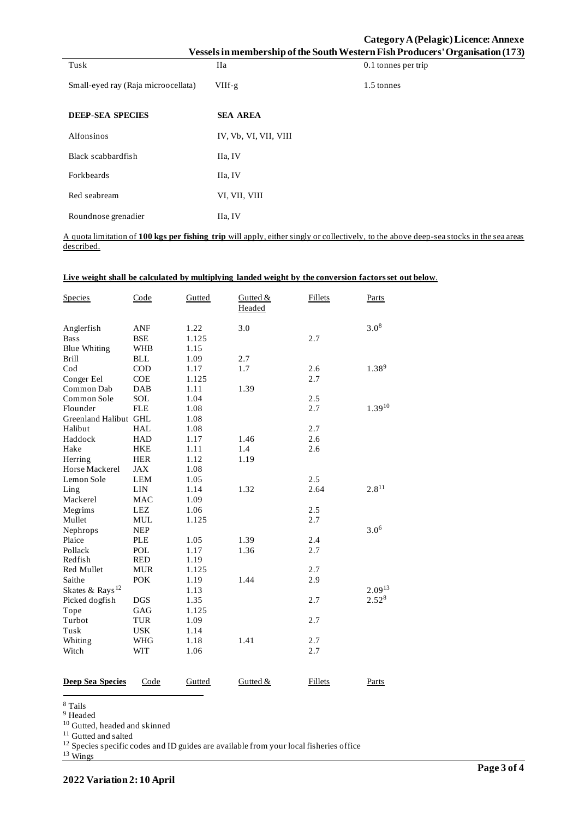|                                     |                       | Category A (Pelagic) Licence: Annexe<br>Vessels in membership of the South Western Fish Producers' Organisation (173) |
|-------------------------------------|-----------------------|-----------------------------------------------------------------------------------------------------------------------|
| Tusk                                | <b>IIa</b>            | 0.1 tonnes per trip                                                                                                   |
| Small-eyed ray (Raja microocellata) | $VIIf-g$              | 1.5 tonnes                                                                                                            |
| <b>DEEP-SEA SPECIES</b>             | <b>SEA AREA</b>       |                                                                                                                       |
| Alfonsinos                          | IV, Vb, VI, VII, VIII |                                                                                                                       |
| Black scabbardfish                  | IIa, IV               |                                                                                                                       |
| Forkbeards                          | IIa, IV               |                                                                                                                       |
| Red seabream                        | VI, VII, VIII         |                                                                                                                       |
| Roundnose grenadier                 | IIa, IV               |                                                                                                                       |

A quota limitation of **100 kgs per fishing trip** will apply, either singly or collectively, to the above deep-sea stocks in the sea areas described.

| <b>Species</b>              | Code       | Gutted | Gutted &<br>Headed | <b>Fillets</b> | Parts            |
|-----------------------------|------------|--------|--------------------|----------------|------------------|
| Anglerfish                  | <b>ANF</b> | 1.22   | 3.0                |                | $3.0^{8}$        |
| <b>Bass</b>                 | <b>BSE</b> | 1.125  |                    | 2.7            |                  |
| <b>Blue Whiting</b>         | <b>WHB</b> | 1.15   |                    |                |                  |
| <b>Brill</b>                | <b>BLL</b> | 1.09   | 2.7                |                |                  |
| $\mathrm{Cod}$              | <b>COD</b> | 1.17   | 1.7                | 2.6            | $1.38^{9}$       |
| Conger Eel                  | COE        | 1.125  |                    | 2.7            |                  |
| Common Dab                  | <b>DAB</b> | 1.11   | 1.39               |                |                  |
| Common Sole                 | <b>SOL</b> | 1.04   |                    | 2.5            |                  |
| Flounder                    | <b>FLE</b> | 1.08   |                    | 2.7            | $1.39^{10}$      |
| Greenland Halibut GHL       |            | 1.08   |                    |                |                  |
| Halibut                     | <b>HAL</b> | 1.08   |                    | 2.7            |                  |
| Haddock                     | <b>HAD</b> | 1.17   | 1.46               | 2.6            |                  |
| Hake                        | <b>HKE</b> | 1.11   | 1.4                | 2.6            |                  |
| Herring                     | <b>HER</b> | 1.12   | 1.19               |                |                  |
| Horse Mackerel              | <b>JAX</b> | 1.08   |                    |                |                  |
| Lemon Sole                  | <b>LEM</b> | 1.05   |                    | 2.5            |                  |
| Ling                        | LIN        | 1.14   | 1.32               | 2.64           | $2.8^{11}$       |
| Mackerel                    | <b>MAC</b> | 1.09   |                    |                |                  |
| Megrims                     | <b>LEZ</b> | 1.06   |                    | 2.5            |                  |
| Mullet                      | <b>MUL</b> | 1.125  |                    | 2.7            |                  |
| Nephrops                    | <b>NEP</b> |        |                    |                | 3.0 <sup>6</sup> |
| Plaice                      | <b>PLE</b> | 1.05   | 1.39               | 2.4            |                  |
| Pollack                     | <b>POL</b> | 1.17   | 1.36               | 2.7            |                  |
| Redfish                     | <b>RED</b> | 1.19   |                    |                |                  |
| Red Mullet                  | <b>MUR</b> | 1.125  |                    | 2.7            |                  |
| Saithe                      | <b>POK</b> | 1.19   | 1.44               | 2.9            |                  |
| Skates & Rays <sup>12</sup> |            | 1.13   |                    |                | $2.09^{13}$      |
| Picked dogfish              | <b>DGS</b> | 1.35   |                    | 2.7            | 2.528            |
| Tope                        | GAG        | 1.125  |                    |                |                  |
| Turbot                      | <b>TUR</b> | 1.09   |                    | 2.7            |                  |
| Tusk                        | <b>USK</b> | 1.14   |                    |                |                  |
| Whiting                     | <b>WHG</b> | 1.18   | 1.41               | 2.7            |                  |
| Witch                       | <b>WIT</b> | 1.06   |                    | 2.7            |                  |
|                             |            |        |                    |                |                  |
| <b>Deep Sea Species</b>     | Code       | Gutted | Gutted &           | Fillets        | Parts            |

### **Live weight shall be calculated by multiplying landed weight by the conversion factors set out below**.

<sup>8</sup> Tails

<sup>9</sup> Headed

<sup>10</sup> Gutted, headed and skinned

<sup>11</sup> Gutted and salted

 $12$  Species specific codes and ID guides are available from your local fisheries office

<sup>13</sup> Wings